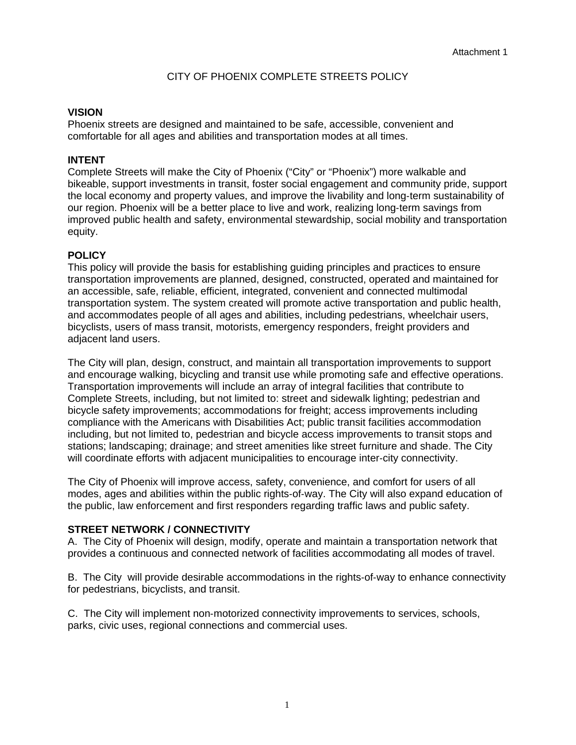# CITY OF PHOENIX COMPLETE STREETS POLICY

#### **VISION**

Phoenix streets are designed and maintained to be safe, accessible, convenient and comfortable for all ages and abilities and transportation modes at all times.

#### **INTENT**

Complete Streets will make the City of Phoenix ("City" or "Phoenix") more walkable and bikeable, support investments in transit, foster social engagement and community pride, support the local economy and property values, and improve the livability and long-term sustainability of our region. Phoenix will be a better place to live and work, realizing long‐term savings from improved public health and safety, environmental stewardship, social mobility and transportation equity.

#### **POLICY**

This policy will provide the basis for establishing guiding principles and practices to ensure transportation improvements are planned, designed, constructed, operated and maintained for an accessible, safe, reliable, efficient, integrated, convenient and connected multimodal transportation system. The system created will promote active transportation and public health, and accommodates people of all ages and abilities, including pedestrians, wheelchair users, bicyclists, users of mass transit, motorists, emergency responders, freight providers and adjacent land users.

The City will plan, design, construct, and maintain all transportation improvements to support and encourage walking, bicycling and transit use while promoting safe and effective operations. Transportation improvements will include an array of integral facilities that contribute to Complete Streets, including, but not limited to: street and sidewalk lighting; pedestrian and bicycle safety improvements; accommodations for freight; access improvements including compliance with the Americans with Disabilities Act; public transit facilities accommodation including, but not limited to, pedestrian and bicycle access improvements to transit stops and stations; landscaping; drainage; and street amenities like street furniture and shade. The City will coordinate efforts with adjacent municipalities to encourage inter‐city connectivity.

The City of Phoenix will improve access, safety, convenience, and comfort for users of all modes, ages and abilities within the public rights‐of‐way. The City will also expand education of the public, law enforcement and first responders regarding traffic laws and public safety.

#### **STREET NETWORK / CONNECTIVITY**

A. The City of Phoenix will design, modify, operate and maintain a transportation network that provides a continuous and connected network of facilities accommodating all modes of travel.

B. The City will provide desirable accommodations in the rights‐of‐way to enhance connectivity for pedestrians, bicyclists, and transit.

C. The City will implement non‐motorized connectivity improvements to services, schools, parks, civic uses, regional connections and commercial uses.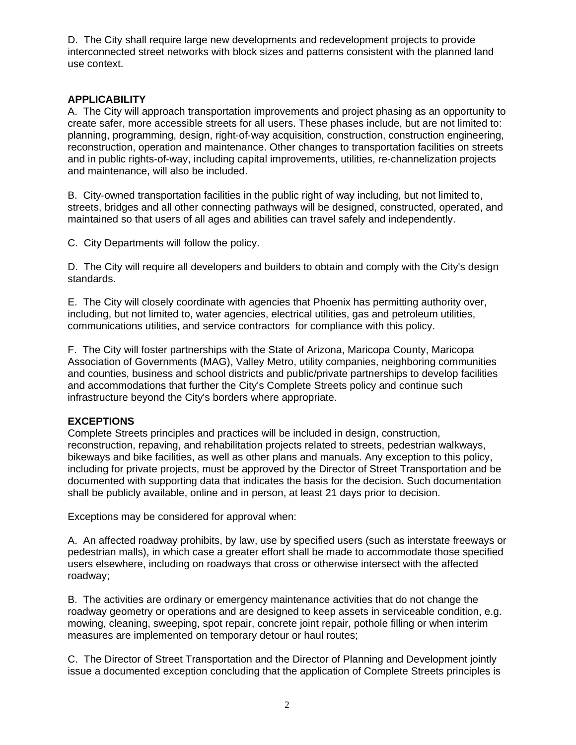D. The City shall require large new developments and redevelopment projects to provide interconnected street networks with block sizes and patterns consistent with the planned land use context.

# **APPLICABILITY**

A. The City will approach transportation improvements and project phasing as an opportunity to create safer, more accessible streets for all users. These phases include, but are not limited to: planning, programming, design, right‐of‐way acquisition, construction, construction engineering, reconstruction, operation and maintenance. Other changes to transportation facilities on streets and in public rights‐of‐way, including capital improvements, utilities, re‐channelization projects and maintenance, will also be included.

B. City‐owned transportation facilities in the public right of way including, but not limited to, streets, bridges and all other connecting pathways will be designed, constructed, operated, and maintained so that users of all ages and abilities can travel safely and independently.

C. City Departments will follow the policy.

D. The City will require all developers and builders to obtain and comply with the City's design standards.

E. The City will closely coordinate with agencies that Phoenix has permitting authority over, including, but not limited to, water agencies, electrical utilities, gas and petroleum utilities, communications utilities, and service contractors for compliance with this policy.

F. The City will foster partnerships with the State of Arizona, Maricopa County, Maricopa Association of Governments (MAG), Valley Metro, utility companies, neighboring communities and counties, business and school districts and public/private partnerships to develop facilities and accommodations that further the City's Complete Streets policy and continue such infrastructure beyond the City's borders where appropriate.

# **EXCEPTIONS**

Complete Streets principles and practices will be included in design, construction, reconstruction, repaving, and rehabilitation projects related to streets, pedestrian walkways, bikeways and bike facilities, as well as other plans and manuals. Any exception to this policy, including for private projects, must be approved by the Director of Street Transportation and be documented with supporting data that indicates the basis for the decision. Such documentation shall be publicly available, online and in person, at least 21 days prior to decision.

Exceptions may be considered for approval when:

A. An affected roadway prohibits, by law, use by specified users (such as interstate freeways or pedestrian malls), in which case a greater effort shall be made to accommodate those specified users elsewhere, including on roadways that cross or otherwise intersect with the affected roadway;

B. The activities are ordinary or emergency maintenance activities that do not change the roadway geometry or operations and are designed to keep assets in serviceable condition, e.g. mowing, cleaning, sweeping, spot repair, concrete joint repair, pothole filling or when interim measures are implemented on temporary detour or haul routes;

C. The Director of Street Transportation and the Director of Planning and Development jointly issue a documented exception concluding that the application of Complete Streets principles is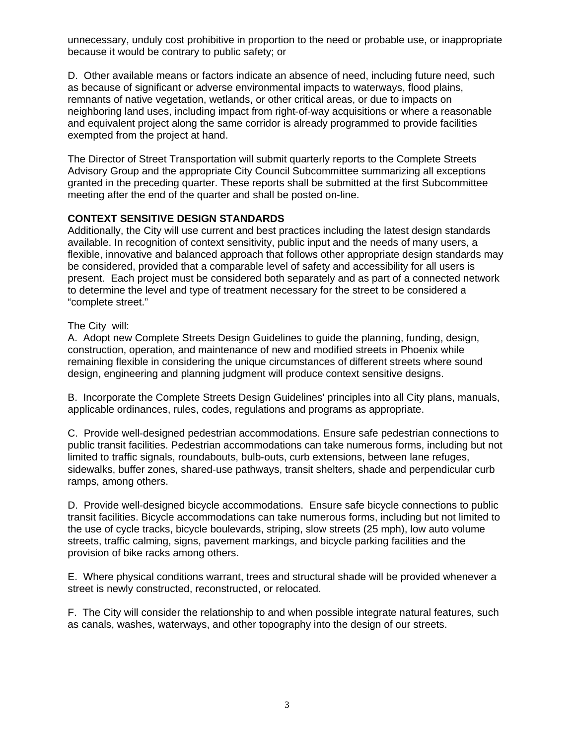unnecessary, unduly cost prohibitive in proportion to the need or probable use, or inappropriate because it would be contrary to public safety; or

D. Other available means or factors indicate an absence of need, including future need, such as because of significant or adverse environmental impacts to waterways, flood plains, remnants of native vegetation, wetlands, or other critical areas, or due to impacts on neighboring land uses, including impact from right‐of‐way acquisitions or where a reasonable and equivalent project along the same corridor is already programmed to provide facilities exempted from the project at hand.

The Director of Street Transportation will submit quarterly reports to the Complete Streets Advisory Group and the appropriate City Council Subcommittee summarizing all exceptions granted in the preceding quarter. These reports shall be submitted at the first Subcommittee meeting after the end of the quarter and shall be posted on‐line.

# **CONTEXT SENSITIVE DESIGN STANDARDS**

Additionally, the City will use current and best practices including the latest design standards available. In recognition of context sensitivity, public input and the needs of many users, a flexible, innovative and balanced approach that follows other appropriate design standards may be considered, provided that a comparable level of safety and accessibility for all users is present. Each project must be considered both separately and as part of a connected network to determine the level and type of treatment necessary for the street to be considered a "complete street."

#### The City will:

A. Adopt new Complete Streets Design Guidelines to guide the planning, funding, design, construction, operation, and maintenance of new and modified streets in Phoenix while remaining flexible in considering the unique circumstances of different streets where sound design, engineering and planning judgment will produce context sensitive designs.

B. Incorporate the Complete Streets Design Guidelines' principles into all City plans, manuals, applicable ordinances, rules, codes, regulations and programs as appropriate.

C. Provide well‐designed pedestrian accommodations. Ensure safe pedestrian connections to public transit facilities. Pedestrian accommodations can take numerous forms, including but not limited to traffic signals, roundabouts, bulb-outs, curb extensions, between lane refuges, sidewalks, buffer zones, shared-use pathways, transit shelters, shade and perpendicular curb ramps, among others.

D. Provide well‐designed bicycle accommodations. Ensure safe bicycle connections to public transit facilities. Bicycle accommodations can take numerous forms, including but not limited to the use of cycle tracks, bicycle boulevards, striping, slow streets (25 mph), low auto volume streets, traffic calming, signs, pavement markings, and bicycle parking facilities and the provision of bike racks among others.

E. Where physical conditions warrant, trees and structural shade will be provided whenever a street is newly constructed, reconstructed, or relocated.

F. The City will consider the relationship to and when possible integrate natural features, such as canals, washes, waterways, and other topography into the design of our streets.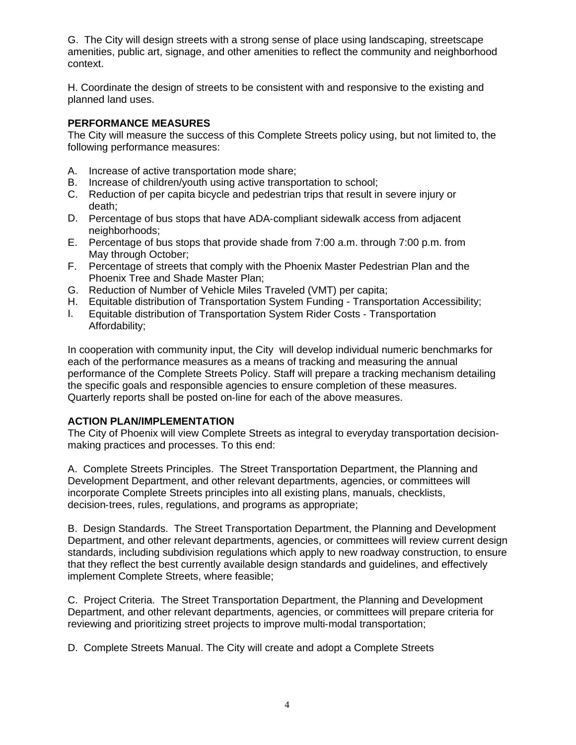G. The City will design streets with a strong sense of place using landscaping, streetscape amenities, public art, signage, and other amenities to reflect the community and neighborhood context.

H. Coordinate the design of streets to be consistent with and responsive to the existing and planned land uses.

### **PERFORMANCE MEASURES**

The City will measure the success of this Complete Streets policy using, but not limited to, the following performance measures:

- A. Increase of active transportation mode share;
- B. Increase of children/youth using active transportation to school;
- C. Reduction of per capita bicycle and pedestrian trips that result in severe injury or death;
- D. Percentage of bus stops that have ADA-compliant sidewalk access from adjacent neighborhoods;
- E. Percentage of bus stops that provide shade from 7:00 a.m. through 7:00 p.m. from May through October;
- F. Percentage of streets that comply with the Phoenix Master Pedestrian Plan and the Phoenix Tree and Shade Master Plan;
- G. Reduction of Number of Vehicle Miles Traveled (VMT) per capita;
- H. Equitable distribution of Transportation System Funding Transportation Accessibility;
- I. Equitable distribution of Transportation System Rider Costs ‐ Transportation Affordability;

In cooperation with community input, the City will develop individual numeric benchmarks for each of the performance measures as a means of tracking and measuring the annual performance of the Complete Streets Policy. Staff will prepare a tracking mechanism detailing the specific goals and responsible agencies to ensure completion of these measures. Quarterly reports shall be posted on‐line for each of the above measures.

# **ACTION PLAN/IMPLEMENTATION**

The City of Phoenix will view Complete Streets as integral to everyday transportation decisionmaking practices and processes. To this end:

A. Complete Streets Principles. The Street Transportation Department, the Planning and Development Department, and other relevant departments, agencies, or committees will incorporate Complete Streets principles into all existing plans, manuals, checklists, decision‐trees, rules, regulations, and programs as appropriate;

B. Design Standards. The Street Transportation Department, the Planning and Development Department, and other relevant departments, agencies, or committees will review current design standards, including subdivision regulations which apply to new roadway construction, to ensure that they reflect the best currently available design standards and guidelines, and effectively implement Complete Streets, where feasible;

C. Project Criteria. The Street Transportation Department, the Planning and Development Department, and other relevant departments, agencies, or committees will prepare criteria for reviewing and prioritizing street projects to improve multi-modal transportation;

D. Complete Streets Manual. The City will create and adopt a Complete Streets